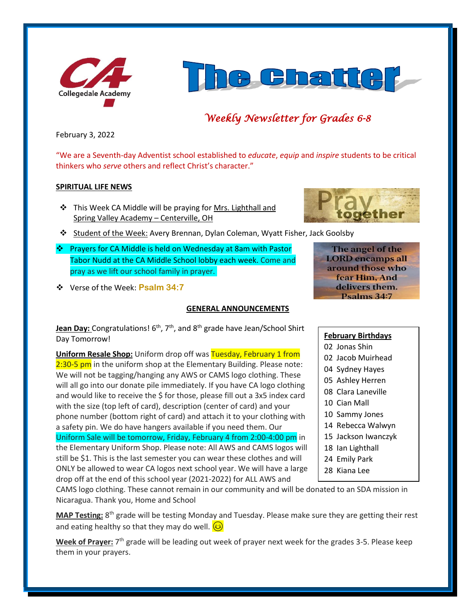



# *Weekly Newsletter for Grades 6-8*

February 3, 2022

"We are a Seventh-day Adventist school established to *educate*, *equip* and *inspire* students to be critical thinkers who *serve* others and reflect Christ's character."

#### **SPIRITUAL LIFE NEWS**

- ❖ This Week CA Middle will be praying for Mrs. Lighthall and Spring Valley Academy – Centerville, OH
- ❖ Student of the Week: Avery Brennan, Dylan Coleman, Wyatt Fisher, Jack Goolsby
- ❖ Prayers for CA Middle is held on Wednesday at 8am with Pastor Tabor Nudd at the CA Middle School lobby each week. Come and pray as we lift our school family in prayer.
- ❖ Verse of the Week: **Psalm 34:7**

# **GENERAL ANNOUNCEMENTS**

Jean Day: Congratulations! 6<sup>th</sup>, 7<sup>th</sup>, and 8<sup>th</sup> grade have Jean/School Shirt Day Tomorrow!

**Uniform Resale Shop:** Uniform drop off was Tuesday, February 1 from 2:30-5 pm in the uniform shop at the Elementary Building. Please note: We will not be tagging/hanging any AWS or CAMS logo clothing. These will all go into our donate pile immediately. If you have CA logo clothing and would like to receive the \$ for those, please fill out a 3x5 index card with the size (top left of card), description (center of card) and your phone number (bottom right of card) and attach it to your clothing with a safety pin. We do have hangers available if you need them. Our Uniform Sale will be tomorrow, Friday, February 4 from 2:00-4:00 pm in the Elementary Uniform Shop. Please note: All AWS and CAMS logos will still be \$1. This is the last semester you can wear these clothes and will ONLY be allowed to wear CA logos next school year. We will have a large drop off at the end of this school year (2021-2022) for ALL AWS and

The angel of the **LORD** encamps all around those who fear Him, And delivers them. Psalms 34:7

#### **February Birthdays**

- 02 Jonas Shin
- 02 Jacob Muirhead
- 04 Sydney Hayes
- 05 Ashley Herren
- 08 Clara Laneville
- 10 Cian Mall
- 10 Sammy Jones
- 14 Rebecca Walwyn
- 15 Jackson Iwanczyk
- 18 Ian Lighthall
- 24 Emily Park
- 28 Kiana Lee

CAMS logo clothing. These cannot remain in our community and will be donated to an SDA mission in Nicaragua. Thank you, Home and School

**MAP Testing:** 8 th grade will be testing Monday and Tuesday. Please make sure they are getting their rest and eating healthy so that they may do well.  $\circ$ 

Week of Prayer: 7<sup>th</sup> grade will be leading out week of prayer next week for the grades 3-5. Please keep them in your prayers.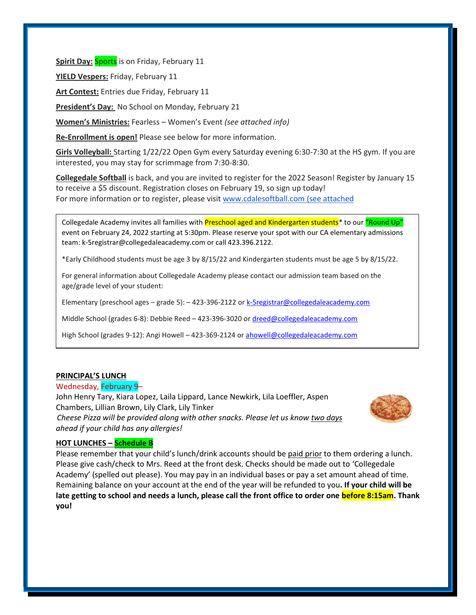**Spirit Day: Sports** is on Friday, February 11

**YIELD Vespers:** Friday, February 11

**Art Contest:** Entries due Friday, February 11

**President's Day:** No School on Monday, February 21

**Women's Ministries:** Fearless – Women's Event *(see attached info)*

**Re-Enrollment is open!** Please see below for more information.

**Girls Volleyball:** Starting 1/22/22 Open Gym every Saturday evening 6:30-7:30 at the HS gym. If you are interested, you may stay for scrimmage from 7:30-8:30.

**Collegedale Softball** is back, and you are invited to register for the 2022 Season! Register by January 15 to receive a \$5 discount. Registration closes on February 19, so sign up today! For more information or to register, please visit [www.cdalesoftball.com](http://www.cdalesoftball.com/) (see attached

Collegedale Academy invites all families with Preschool aged and Kindergarten students\* to our "Round Up" event on February 24, 2022 starting at 5:30pm. Please reserve your spot with our CA elementary admissions team: k-5registrar@collegedaleacademy.com or call 423.396.2122.

\*Early Childhood students must be age 3 by 8/15/22 and Kindergarten students must be age 5 by 8/15/22.

For general information about Collegedale Academy please contact our admission team based on the age/grade level of your student:

Elementary (preschool ages - grade 5): -423-396-2122 o[r k-5registrar@collegedaleacademy.com](mailto:k-5registrar@collegedaleacademy.com)

Middle School (grades 6-8): Debbie Reed – 423-396-3020 o[r dreed@collegedaleacademy.com](mailto:dreed@collegedaleacademy.com)

High School (grades 9-12): Angi Howell - 423-369-2124 or [ahowell@collegedaleacademy.com](mailto:ahowell@collegedaleacademy.com)

#### **PRINCIPAL'S LUNCH**

Wednesday, February 9–

John Henry Tary, Kiara Lopez, Laila Lippard, Lance Newkirk, Lila Loeffler, Aspen Chambers, Lillian Brown, Lily Clark, Lily Tinker

*Cheese Pizza will be provided along with other snacks. Please let us know two days ahead if your child has any allergies!*



#### **HOT LUNCHES – Schedule B**

Please remember that your child's lunch/drink accounts should be paid prior to them ordering a lunch. Please give cash/check to Mrs. Reed at the front desk. Checks should be made out to 'Collegedale Academy' (spelled out please). You may pay in an individual bases or pay a set amount ahead of time. Remaining balance on your account at the end of the year will be refunded to you**. If your child will be late getting to school and needs a lunch, please call the front office to order one before 8:15am. Thank you!**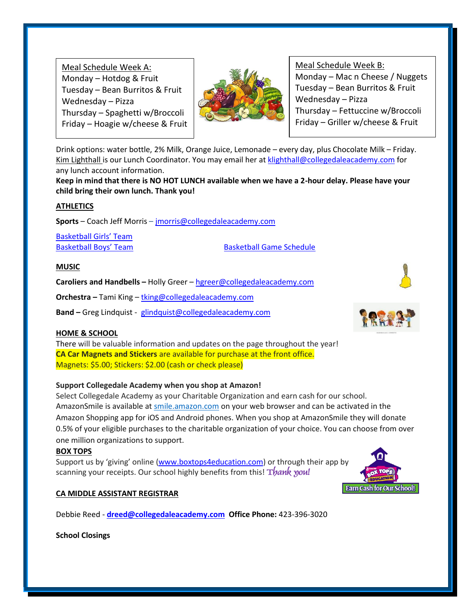Meal Schedule Week A: Monday – Hotdog  $&$  Fruit Tuesday – Bean Burritos & Fruit Wednesday – Pizza Thursday – Spaghetti w/Broccoli Friday – Hoagie w/cheese & Fruit



Meal Schedule Week B: Monday – Mac n Cheese / Nuggets Tuesday – Bean Burritos & Fruit Wednesday – Pizza Thursday – Fettuccine w/Broccoli Friday – Griller w/cheese & Fruit

Drink options: water bottle, 2% Milk, Orange Juice, Lemonade – every day, plus Chocolate Milk – Friday. Kim Lighthall is our Lunch Coordinator. You may email her at [klighthall@collegedaleacademy.com](mailto:klighthall@collegedaleacademy.com) for any lunch account information.

**Keep in mind that there is NO HOT LUNCH available when we have a 2-hour delay. Please have your child bring their own lunch. Thank you!**

# **ATHLETICS**

**Sports** – Coach Jeff Morris – [jmorris@collegedaleacademy.com](mailto:jmorris@collegedaleacademy.com)

[Basketball Girls' Team](https://www.collegedaleacademy.com/wp-content/uploads/2021/11/Basketball-Teams-Girls-1.pdf)

[Basketball Boys' Team](https://www.collegedaleacademy.com/wp-content/uploads/2021/11/Basketball-Teams-Boys.pdf) [Basketball Game Schedule](https://www.collegedaleacademy.com/wp-content/uploads/2021/11/2021-2022-Boys-and-Girls-Basketball-Schedule.pdf)

# **MUSIC**

**Caroliers and Handbells –** Holly Greer – [hgreer@collegedaleacademy.com](mailto:hgreer@collegedaleacademy.com)

**Orchestra –** Tami King – [tking@collegedaleacademy.com](mailto:tking@collegedaleacademy.com)

**Band –** Greg Lindquist - [glindquist@collegedaleacademy.com](mailto:glindquist@collegedaleacademy.com)

# **HOME & SCHOOL**

There will be valuable information and updates on the page throughout the year! **CA Car Magnets and Stickers** are available for purchase at the front office. Magnets: \$5.00; Stickers: \$2.00 (cash or check please)

# **Support Collegedale Academy when you shop at Amazon!**

Select Collegedale Academy as your Charitable Organization and earn cash for our school. AmazonSmile is available at [smile.amazon.com](https://smile.amazon.com/ref=smi_se_saas_lsmi_smi) on your web browser and can be activated in the Amazon Shopping app for iOS and Android phones. When you shop at AmazonSmile they will donate 0.5% of your eligible purchases to the charitable organization of your choice. You can choose from over one million organizations to support.

#### **BOX TOPS**

Support us by 'giving' online ([www.boxtops4education.com\)](http://www.boxtops4education.com/) or through their app by scanning your receipts. Our school highly benefits from this! Thank you!

# **CA MIDDLE ASSISTANT REGISTRAR**

Debbie Reed - **[dreed@collegedaleacademy.com](mailto:dreed@collegedaleacademy.com) Office Phone:** 423-396-3020

**School Closings**